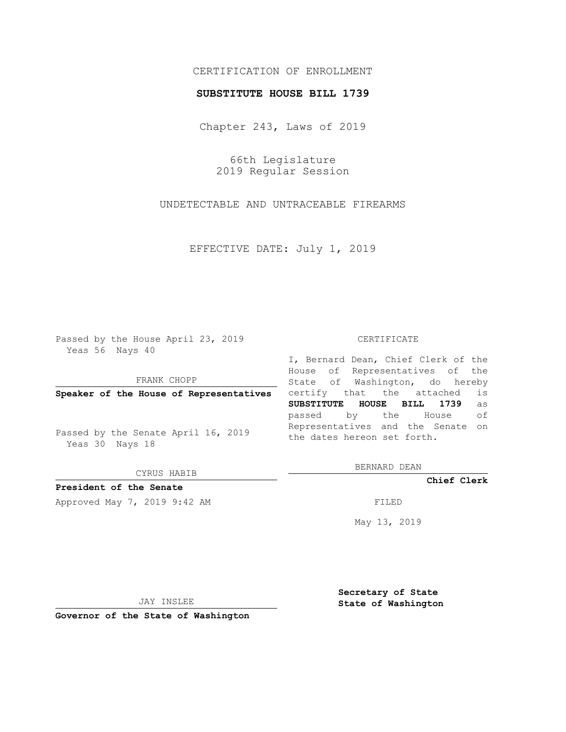# CERTIFICATION OF ENROLLMENT

## **SUBSTITUTE HOUSE BILL 1739**

Chapter 243, Laws of 2019

66th Legislature 2019 Regular Session

UNDETECTABLE AND UNTRACEABLE FIREARMS

EFFECTIVE DATE: July 1, 2019

Passed by the House April 23, 2019 Yeas 56 Nays 40

FRANK CHOPP

**Speaker of the House of Representatives**

Passed by the Senate April 16, 2019 Yeas 30 Nays 18

CYRUS HABIB

# **President of the Senate**

Approved May 7, 2019 9:42 AM FILED

#### CERTIFICATE

I, Bernard Dean, Chief Clerk of the House of Representatives of the State of Washington, do hereby certify that the attached is **SUBSTITUTE HOUSE BILL 1739** as passed by the House of Representatives and the Senate on the dates hereon set forth.

BERNARD DEAN

**Chief Clerk**

May 13, 2019

JAY INSLEE

**Governor of the State of Washington**

**Secretary of State State of Washington**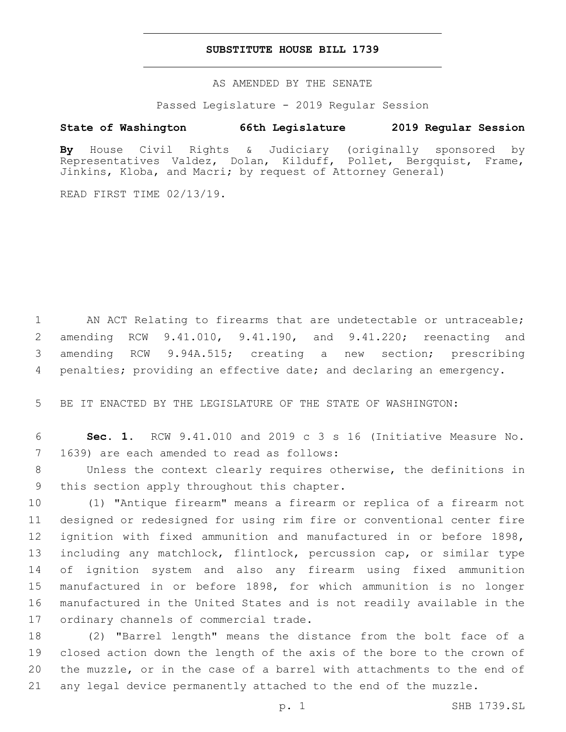## **SUBSTITUTE HOUSE BILL 1739**

AS AMENDED BY THE SENATE

Passed Legislature - 2019 Regular Session

# **State of Washington 66th Legislature 2019 Regular Session**

**By** House Civil Rights & Judiciary (originally sponsored by Representatives Valdez, Dolan, Kilduff, Pollet, Bergquist, Frame, Jinkins, Kloba, and Macri; by request of Attorney General)

READ FIRST TIME 02/13/19.

1 AN ACT Relating to firearms that are undetectable or untraceable; amending RCW 9.41.010, 9.41.190, and 9.41.220; reenacting and amending RCW 9.94A.515; creating a new section; prescribing penalties; providing an effective date; and declaring an emergency.

5 BE IT ENACTED BY THE LEGISLATURE OF THE STATE OF WASHINGTON:

6 **Sec. 1.** RCW 9.41.010 and 2019 c 3 s 16 (Initiative Measure No. 7 1639) are each amended to read as follows:

8 Unless the context clearly requires otherwise, the definitions in 9 this section apply throughout this chapter.

 (1) "Antique firearm" means a firearm or replica of a firearm not designed or redesigned for using rim fire or conventional center fire ignition with fixed ammunition and manufactured in or before 1898, including any matchlock, flintlock, percussion cap, or similar type of ignition system and also any firearm using fixed ammunition manufactured in or before 1898, for which ammunition is no longer manufactured in the United States and is not readily available in the 17 ordinary channels of commercial trade.

 (2) "Barrel length" means the distance from the bolt face of a closed action down the length of the axis of the bore to the crown of the muzzle, or in the case of a barrel with attachments to the end of any legal device permanently attached to the end of the muzzle.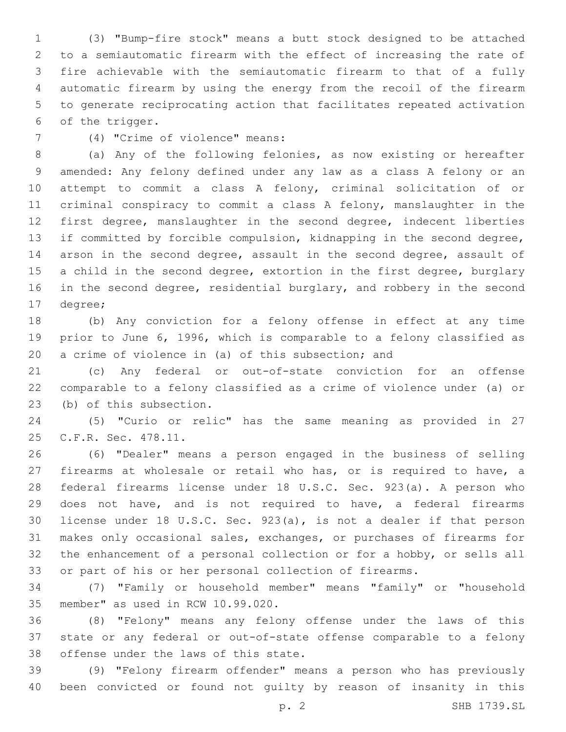(3) "Bump-fire stock" means a butt stock designed to be attached to a semiautomatic firearm with the effect of increasing the rate of fire achievable with the semiautomatic firearm to that of a fully automatic firearm by using the energy from the recoil of the firearm to generate reciprocating action that facilitates repeated activation 6 of the trigger.

(4) "Crime of violence" means:7

 (a) Any of the following felonies, as now existing or hereafter amended: Any felony defined under any law as a class A felony or an attempt to commit a class A felony, criminal solicitation of or criminal conspiracy to commit a class A felony, manslaughter in the first degree, manslaughter in the second degree, indecent liberties if committed by forcible compulsion, kidnapping in the second degree, arson in the second degree, assault in the second degree, assault of 15 a child in the second degree, extortion in the first degree, burglary 16 in the second degree, residential burglary, and robbery in the second 17 degree;

 (b) Any conviction for a felony offense in effect at any time prior to June 6, 1996, which is comparable to a felony classified as a crime of violence in (a) of this subsection; and

 (c) Any federal or out-of-state conviction for an offense comparable to a felony classified as a crime of violence under (a) or 23 (b) of this subsection.

 (5) "Curio or relic" has the same meaning as provided in 27 25 C.F.R. Sec. 478.11.

 (6) "Dealer" means a person engaged in the business of selling firearms at wholesale or retail who has, or is required to have, a federal firearms license under 18 U.S.C. Sec. 923(a). A person who does not have, and is not required to have, a federal firearms license under 18 U.S.C. Sec. 923(a), is not a dealer if that person makes only occasional sales, exchanges, or purchases of firearms for the enhancement of a personal collection or for a hobby, or sells all or part of his or her personal collection of firearms.

 (7) "Family or household member" means "family" or "household 35 member" as used in RCW 10.99.020.

 (8) "Felony" means any felony offense under the laws of this state or any federal or out-of-state offense comparable to a felony 38 offense under the laws of this state.

 (9) "Felony firearm offender" means a person who has previously been convicted or found not guilty by reason of insanity in this

p. 2 SHB 1739.SL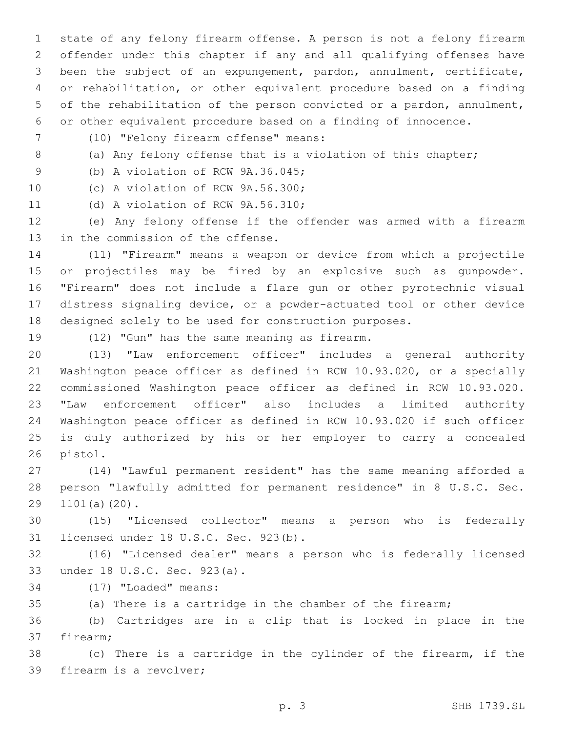state of any felony firearm offense. A person is not a felony firearm offender under this chapter if any and all qualifying offenses have been the subject of an expungement, pardon, annulment, certificate, or rehabilitation, or other equivalent procedure based on a finding of the rehabilitation of the person convicted or a pardon, annulment, or other equivalent procedure based on a finding of innocence.

- (10) "Felony firearm offense" means:7
- 

8 (a) Any felony offense that is a violation of this chapter;

9 (b) A violation of RCW 9A.36.045;

10 (c) A violation of RCW 9A.56.300;

11 (d) A violation of RCW 9A.56.310;

 (e) Any felony offense if the offender was armed with a firearm 13 in the commission of the offense.

 (11) "Firearm" means a weapon or device from which a projectile or projectiles may be fired by an explosive such as gunpowder. "Firearm" does not include a flare gun or other pyrotechnic visual distress signaling device, or a powder-actuated tool or other device designed solely to be used for construction purposes.

19 (12) "Gun" has the same meaning as firearm.

 (13) "Law enforcement officer" includes a general authority Washington peace officer as defined in RCW 10.93.020, or a specially commissioned Washington peace officer as defined in RCW 10.93.020. "Law enforcement officer" also includes a limited authority Washington peace officer as defined in RCW 10.93.020 if such officer is duly authorized by his or her employer to carry a concealed 26 pistol.

 (14) "Lawful permanent resident" has the same meaning afforded a person "lawfully admitted for permanent residence" in 8 U.S.C. Sec. 29 1101(a)(20).

 (15) "Licensed collector" means a person who is federally 31 licensed under 18 U.S.C. Sec. 923(b).

 (16) "Licensed dealer" means a person who is federally licensed 33 under 18 U.S.C. Sec. 923(a).

- 34 (17) "Loaded" means:
- (a) There is a cartridge in the chamber of the firearm;

 (b) Cartridges are in a clip that is locked in place in the 37 firearm;

 (c) There is a cartridge in the cylinder of the firearm, if the 39 firearm is a revolver;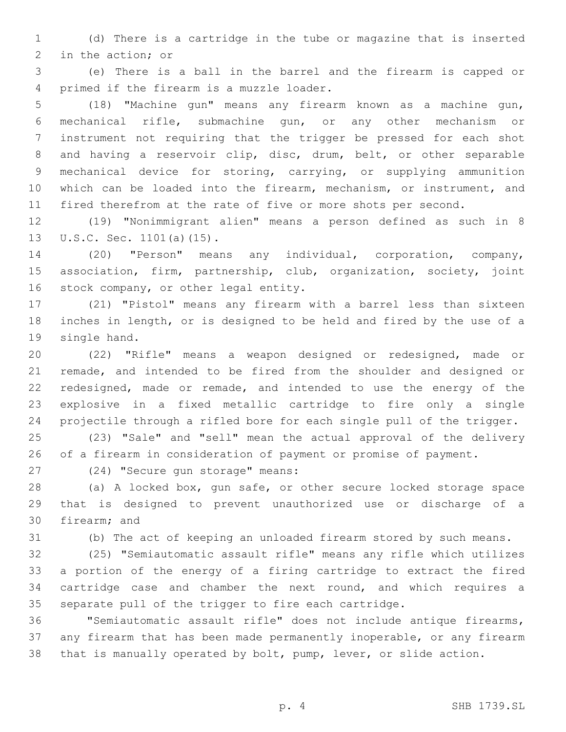(d) There is a cartridge in the tube or magazine that is inserted 2 in the action; or

 (e) There is a ball in the barrel and the firearm is capped or 4 primed if the firearm is a muzzle loader.

 (18) "Machine gun" means any firearm known as a machine gun, mechanical rifle, submachine gun, or any other mechanism or instrument not requiring that the trigger be pressed for each shot and having a reservoir clip, disc, drum, belt, or other separable mechanical device for storing, carrying, or supplying ammunition which can be loaded into the firearm, mechanism, or instrument, and fired therefrom at the rate of five or more shots per second.

 (19) "Nonimmigrant alien" means a person defined as such in 8 13 U.S.C. Sec. 1101(a)(15).

 (20) "Person" means any individual, corporation, company, association, firm, partnership, club, organization, society, joint 16 stock company, or other legal entity.

 (21) "Pistol" means any firearm with a barrel less than sixteen inches in length, or is designed to be held and fired by the use of a 19 single hand.

 (22) "Rifle" means a weapon designed or redesigned, made or remade, and intended to be fired from the shoulder and designed or redesigned, made or remade, and intended to use the energy of the explosive in a fixed metallic cartridge to fire only a single projectile through a rifled bore for each single pull of the trigger.

 (23) "Sale" and "sell" mean the actual approval of the delivery of a firearm in consideration of payment or promise of payment.

27 (24) "Secure gun storage" means:

 (a) A locked box, gun safe, or other secure locked storage space that is designed to prevent unauthorized use or discharge of a 30 firearm; and

(b) The act of keeping an unloaded firearm stored by such means.

 (25) "Semiautomatic assault rifle" means any rifle which utilizes a portion of the energy of a firing cartridge to extract the fired cartridge case and chamber the next round, and which requires a separate pull of the trigger to fire each cartridge.

 "Semiautomatic assault rifle" does not include antique firearms, any firearm that has been made permanently inoperable, or any firearm that is manually operated by bolt, pump, lever, or slide action.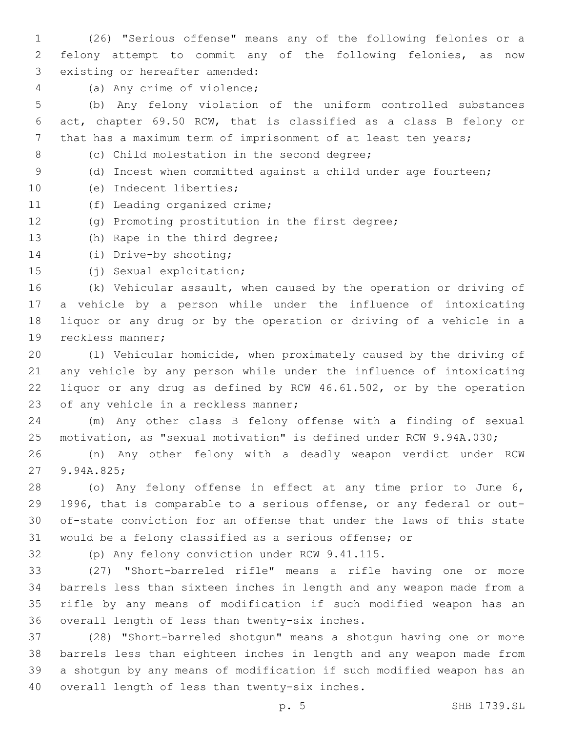(26) "Serious offense" means any of the following felonies or a felony attempt to commit any of the following felonies, as now 3 existing or hereafter amended:

4 (a) Any crime of violence;

 (b) Any felony violation of the uniform controlled substances act, chapter 69.50 RCW, that is classified as a class B felony or that has a maximum term of imprisonment of at least ten years;

8 (c) Child molestation in the second degree;

9 (d) Incest when committed against a child under age fourteen;

- 10 (e) Indecent liberties;
- 11 (f) Leading organized crime;
- (g) Promoting prostitution in the first degree;
- 13 (h) Rape in the third degree;
- 14 (i) Drive-by shooting;
- 15 (j) Sexual exploitation;

 (k) Vehicular assault, when caused by the operation or driving of a vehicle by a person while under the influence of intoxicating liquor or any drug or by the operation or driving of a vehicle in a 19 reckless manner;

 (l) Vehicular homicide, when proximately caused by the driving of any vehicle by any person while under the influence of intoxicating liquor or any drug as defined by RCW 46.61.502, or by the operation 23 of any vehicle in a reckless manner;

 (m) Any other class B felony offense with a finding of sexual motivation, as "sexual motivation" is defined under RCW 9.94A.030;

 (n) Any other felony with a deadly weapon verdict under RCW 27 9.94A.825;

 (o) Any felony offense in effect at any time prior to June 6, 1996, that is comparable to a serious offense, or any federal or out- of-state conviction for an offense that under the laws of this state would be a felony classified as a serious offense; or

32 (p) Any felony conviction under RCW 9.41.115.

 (27) "Short-barreled rifle" means a rifle having one or more barrels less than sixteen inches in length and any weapon made from a rifle by any means of modification if such modified weapon has an 36 overall length of less than twenty-six inches.

 (28) "Short-barreled shotgun" means a shotgun having one or more barrels less than eighteen inches in length and any weapon made from a shotgun by any means of modification if such modified weapon has an 40 overall length of less than twenty-six inches.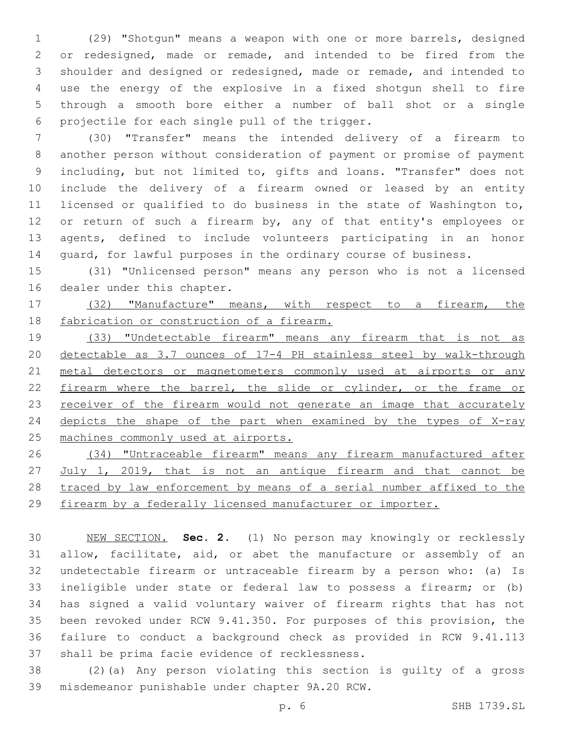(29) "Shotgun" means a weapon with one or more barrels, designed or redesigned, made or remade, and intended to be fired from the shoulder and designed or redesigned, made or remade, and intended to use the energy of the explosive in a fixed shotgun shell to fire through a smooth bore either a number of ball shot or a single 6 projectile for each single pull of the trigger.

 (30) "Transfer" means the intended delivery of a firearm to another person without consideration of payment or promise of payment including, but not limited to, gifts and loans. "Transfer" does not include the delivery of a firearm owned or leased by an entity licensed or qualified to do business in the state of Washington to, 12 or return of such a firearm by, any of that entity's employees or agents, defined to include volunteers participating in an honor guard, for lawful purposes in the ordinary course of business.

 (31) "Unlicensed person" means any person who is not a licensed 16 dealer under this chapter.

 (32) "Manufacture" means, with respect to a firearm, the 18 fabrication or construction of a firearm.

 (33) "Undetectable firearm" means any firearm that is not as detectable as 3.7 ounces of 17-4 PH stainless steel by walk-through 21 metal detectors or magnetometers commonly used at airports or any 22 firearm where the barrel, the slide or cylinder, or the frame or 23 receiver of the firearm would not generate an image that accurately 24 depicts the shape of the part when examined by the types of X-ray machines commonly used at airports.

 (34) "Untraceable firearm" means any firearm manufactured after July 1, 2019, that is not an antique firearm and that cannot be traced by law enforcement by means of a serial number affixed to the firearm by a federally licensed manufacturer or importer.

 NEW SECTION. **Sec. 2.** (1) No person may knowingly or recklessly allow, facilitate, aid, or abet the manufacture or assembly of an undetectable firearm or untraceable firearm by a person who: (a) Is ineligible under state or federal law to possess a firearm; or (b) has signed a valid voluntary waiver of firearm rights that has not been revoked under RCW 9.41.350. For purposes of this provision, the failure to conduct a background check as provided in RCW 9.41.113 shall be prima facie evidence of recklessness.

 (2)(a) Any person violating this section is guilty of a gross 39 misdemeanor punishable under chapter 9A.20 RCW.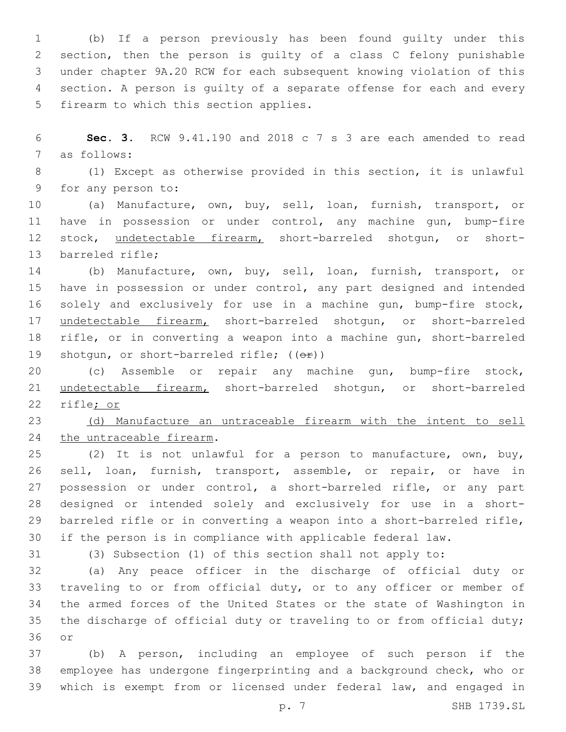(b) If a person previously has been found guilty under this section, then the person is guilty of a class C felony punishable under chapter 9A.20 RCW for each subsequent knowing violation of this section. A person is guilty of a separate offense for each and every 5 firearm to which this section applies.

 **Sec. 3.** RCW 9.41.190 and 2018 c 7 s 3 are each amended to read 7 as follows:

 (1) Except as otherwise provided in this section, it is unlawful 9 for any person to:

 (a) Manufacture, own, buy, sell, loan, furnish, transport, or have in possession or under control, any machine gun, bump-fire 12 stock, undetectable firearm, short-barreled shotgun, or short-13 barreled rifle;

 (b) Manufacture, own, buy, sell, loan, furnish, transport, or have in possession or under control, any part designed and intended solely and exclusively for use in a machine gun, bump-fire stock, undetectable firearm, short-barreled shotgun, or short-barreled rifle, or in converting a weapon into a machine gun, short-barreled 19 shotgun, or short-barreled rifle;  $((\theta \cdot \hat{r}))$ 

 (c) Assemble or repair any machine gun, bump-fire stock, undetectable firearm, short-barreled shotgun, or short-barreled rifle; or

 (d) Manufacture an untraceable firearm with the intent to sell 24 the untraceable firearm.

 (2) It is not unlawful for a person to manufacture, own, buy, sell, loan, furnish, transport, assemble, or repair, or have in 27 possession or under control, a short-barreled rifle, or any part designed or intended solely and exclusively for use in a short- barreled rifle or in converting a weapon into a short-barreled rifle, if the person is in compliance with applicable federal law.

(3) Subsection (1) of this section shall not apply to:

 (a) Any peace officer in the discharge of official duty or traveling to or from official duty, or to any officer or member of the armed forces of the United States or the state of Washington in the discharge of official duty or traveling to or from official duty; 36 or

 (b) A person, including an employee of such person if the employee has undergone fingerprinting and a background check, who or which is exempt from or licensed under federal law, and engaged in

p. 7 SHB 1739.SL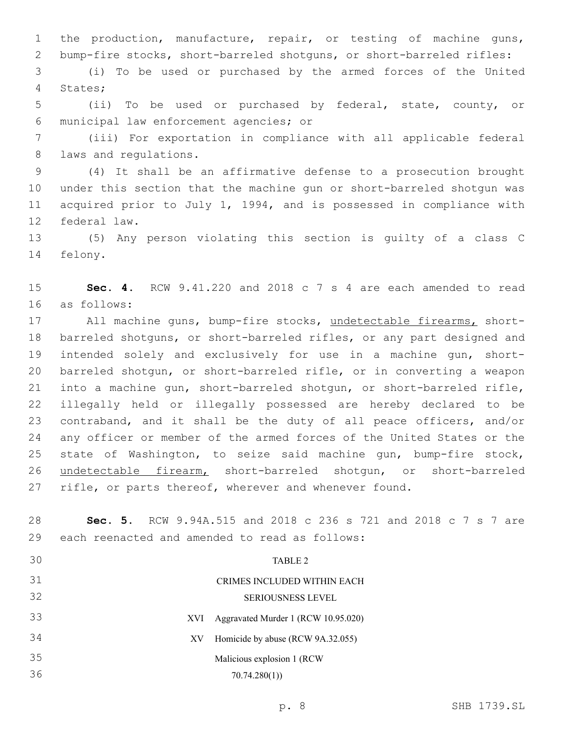the production, manufacture, repair, or testing of machine guns, bump-fire stocks, short-barreled shotguns, or short-barreled rifles:

 (i) To be used or purchased by the armed forces of the United 4 States;

 (ii) To be used or purchased by federal, state, county, or municipal law enforcement agencies; or6

 (iii) For exportation in compliance with all applicable federal 8 laws and regulations.

 (4) It shall be an affirmative defense to a prosecution brought under this section that the machine gun or short-barreled shotgun was acquired prior to July 1, 1994, and is possessed in compliance with 12 federal law.

 (5) Any person violating this section is guilty of a class C 14 felony.

 **Sec. 4.** RCW 9.41.220 and 2018 c 7 s 4 are each amended to read as follows:16

17 All machine guns, bump-fire stocks, undetectable firearms, short- barreled shotguns, or short-barreled rifles, or any part designed and intended solely and exclusively for use in a machine gun, short- barreled shotgun, or short-barreled rifle, or in converting a weapon into a machine gun, short-barreled shotgun, or short-barreled rifle, illegally held or illegally possessed are hereby declared to be contraband, and it shall be the duty of all peace officers, and/or any officer or member of the armed forces of the United States or the state of Washington, to seize said machine gun, bump-fire stock, undetectable firearm, short-barreled shotgun, or short-barreled rifle, or parts thereof, wherever and whenever found.

 **Sec. 5.** RCW 9.94A.515 and 2018 c 236 s 721 and 2018 c 7 s 7 are 29 each reenacted and amended to read as follows:

| 30        | TABLE 2                             |
|-----------|-------------------------------------|
| 31        | CRIMES INCLUDED WITHIN EACH         |
| 32        | <b>SERIOUSNESS LEVEL</b>            |
| 33<br>XVI | Aggravated Murder 1 (RCW 10.95.020) |
| 34<br>XV  | Homicide by abuse (RCW 9A.32.055)   |
| 35        | Malicious explosion 1 (RCW)         |
| 36        | 70.74.280(1)                        |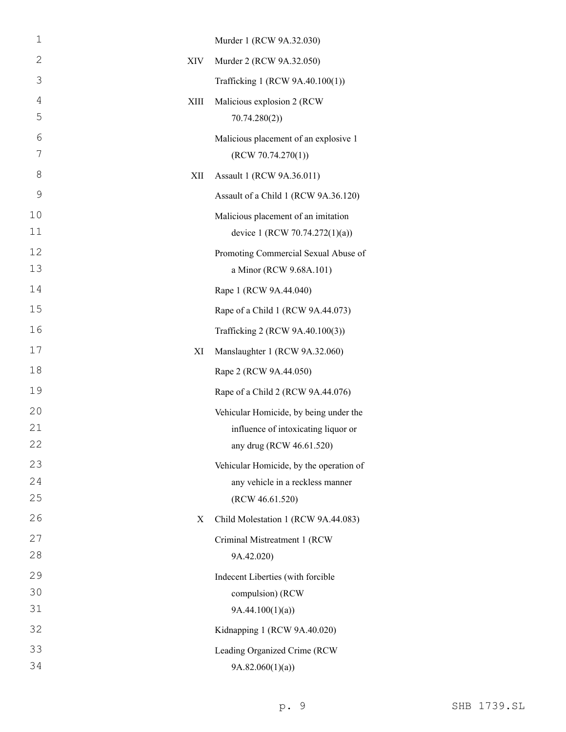| $\mathbf 1$    |      | Murder 1 (RCW 9A.32.030)                                              |
|----------------|------|-----------------------------------------------------------------------|
| 2              | XIV  | Murder 2 (RCW 9A.32.050)                                              |
| 3              |      | Trafficking 1 (RCW 9A.40.100(1))                                      |
| $\overline{4}$ | XIII | Malicious explosion 2 (RCW                                            |
| 5              |      | 70.74.280(2)                                                          |
| 6<br>7         |      | Malicious placement of an explosive 1<br>(RCW 70.74.270(1))           |
| 8              | XII  | Assault 1 (RCW 9A.36.011)                                             |
| 9              |      | Assault of a Child 1 (RCW 9A.36.120)                                  |
| 10<br>11       |      | Malicious placement of an imitation<br>device 1 (RCW 70.74.272(1)(a)) |
| 12<br>13       |      | Promoting Commercial Sexual Abuse of<br>a Minor (RCW 9.68A.101)       |
| 14             |      | Rape 1 (RCW 9A.44.040)                                                |
| 15             |      | Rape of a Child 1 (RCW 9A.44.073)                                     |
| 16             |      | Trafficking 2 (RCW 9A.40.100(3))                                      |
| 17             | XI   | Manslaughter 1 (RCW 9A.32.060)                                        |
| 18             |      | Rape 2 (RCW 9A.44.050)                                                |
| 19             |      | Rape of a Child 2 (RCW 9A.44.076)                                     |
| 20             |      | Vehicular Homicide, by being under the                                |
| 21             |      | influence of intoxicating liquor or                                   |
| 22             |      | any drug (RCW 46.61.520)                                              |
| 23             |      | Vehicular Homicide, by the operation of                               |
| 24<br>25       |      | any vehicle in a reckless manner<br>(RCW 46.61.520)                   |
| 26             | X    | Child Molestation 1 (RCW 9A.44.083)                                   |
| 27             |      | Criminal Mistreatment 1 (RCW                                          |
| 28             |      | 9A.42.020)                                                            |
| 29             |      | Indecent Liberties (with forcible                                     |
| 30             |      | compulsion) (RCW                                                      |
| 31             |      | 9A.44.100(1)(a)                                                       |
| 32             |      | Kidnapping 1 (RCW 9A.40.020)                                          |
| 33             |      | Leading Organized Crime (RCW                                          |
| 34             |      | 9A.82.060(1)(a)                                                       |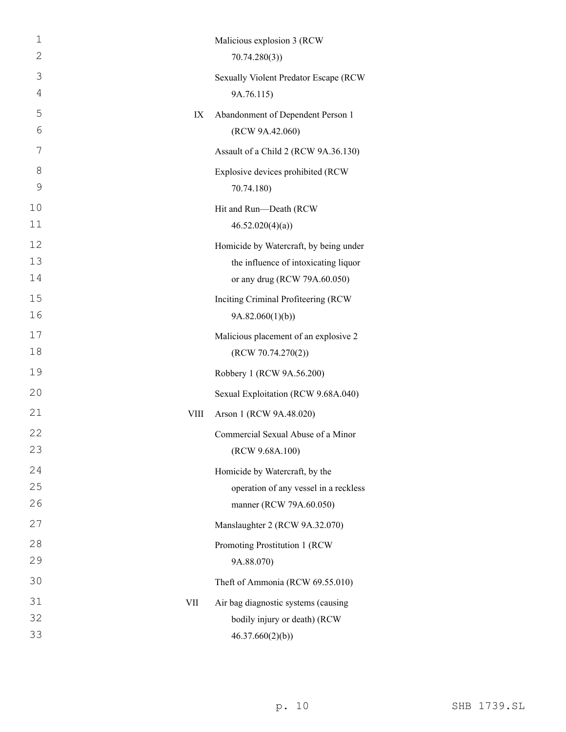| 1  |      | Malicious explosion 3 (RCW             |
|----|------|----------------------------------------|
| 2  |      | 70.74.280(3)                           |
| 3  |      | Sexually Violent Predator Escape (RCW  |
| 4  |      | 9A.76.115)                             |
| 5  | IX   | Abandonment of Dependent Person 1      |
| 6  |      | (RCW 9A.42.060)                        |
| 7  |      | Assault of a Child 2 (RCW 9A.36.130)   |
| 8  |      | Explosive devices prohibited (RCW      |
| 9  |      | 70.74.180)                             |
| 10 |      | Hit and Run-Death (RCW                 |
| 11 |      | 46.52.020(4)(a)                        |
| 12 |      | Homicide by Watercraft, by being under |
| 13 |      | the influence of intoxicating liquor   |
| 14 |      | or any drug (RCW 79A.60.050)           |
| 15 |      | Inciting Criminal Profiteering (RCW    |
| 16 |      | 9A.82.060(1)(b))                       |
| 17 |      | Malicious placement of an explosive 2  |
| 18 |      | (RCW 70.74.270(2))                     |
| 19 |      | Robbery 1 (RCW 9A.56.200)              |
| 20 |      | Sexual Exploitation (RCW 9.68A.040)    |
| 21 | VIII | Arson 1 (RCW 9A.48.020)                |
| 22 |      | Commercial Sexual Abuse of a Minor     |
| 23 |      | (RCW 9.68A.100)                        |
| 24 |      | Homicide by Watercraft, by the         |
| 25 |      | operation of any vessel in a reckless  |
| 26 |      | manner (RCW 79A.60.050)                |
| 27 |      | Manslaughter 2 (RCW 9A.32.070)         |
| 28 |      | Promoting Prostitution 1 (RCW          |
| 29 |      | 9A.88.070)                             |
| 30 |      | Theft of Ammonia (RCW 69.55.010)       |
| 31 | VII  | Air bag diagnostic systems (causing    |
| 32 |      | bodily injury or death) (RCW           |
| 33 |      | 46.37.660(2)(b)                        |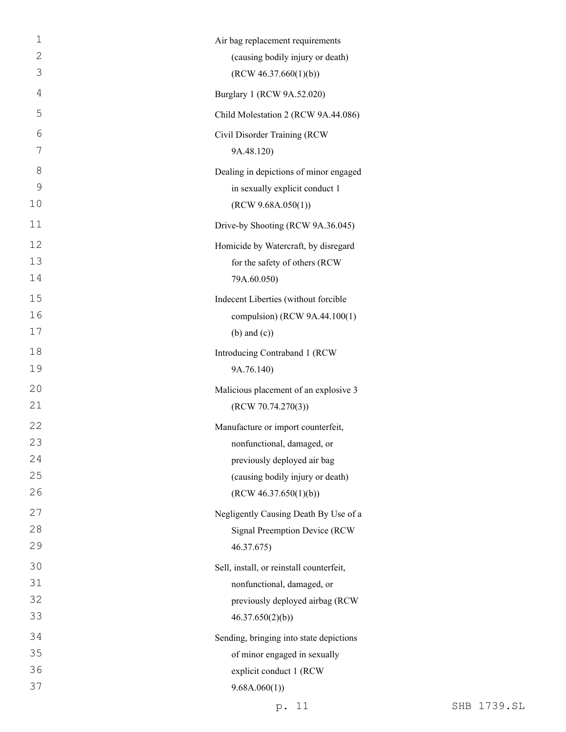| $\mathbf 1$  | Air bag replacement requirements         |
|--------------|------------------------------------------|
| 2            | (causing bodily injury or death)         |
| 3            | (RCW 46.37.660(1)(b))                    |
| 4            | Burglary 1 (RCW 9A.52.020)               |
| 5            | Child Molestation 2 (RCW 9A.44.086)      |
| 6            | Civil Disorder Training (RCW             |
| 7            | 9A.48.120)                               |
| 8            | Dealing in depictions of minor engaged   |
| $\mathsf{O}$ | in sexually explicit conduct 1           |
| 10           | (RCW 9.68A.050(1))                       |
| 11           | Drive-by Shooting (RCW 9A.36.045)        |
| 12           | Homicide by Watercraft, by disregard     |
| 13           | for the safety of others (RCW            |
| 14           | 79A.60.050)                              |
| 15           | Indecent Liberties (without forcible     |
| 16           | compulsion) (RCW 9A.44.100(1)            |
| 17           | $(b)$ and $(c)$ )                        |
| 18           | Introducing Contraband 1 (RCW            |
| 19           | 9A.76.140)                               |
| 20           | Malicious placement of an explosive 3    |
| 21           | (RCW 70.74.270(3))                       |
| 22           | Manufacture or import counterfeit,       |
| 23           | nonfunctional, damaged, or               |
| 24           | previously deployed air bag              |
| 25           | (causing bodily injury or death)         |
| 26           | (RCW 46.37.650(1)(b))                    |
| 27           | Negligently Causing Death By Use of a    |
| 28           | Signal Preemption Device (RCW            |
| 29           | 46.37.675)                               |
| 30           | Sell, install, or reinstall counterfeit, |
| 31           | nonfunctional, damaged, or               |
| 32           | previously deployed airbag (RCW          |
| 33           | 46.37.650(2)(b)                          |
| 34           | Sending, bringing into state depictions  |
| 35           | of minor engaged in sexually             |
| 36           | explicit conduct 1 (RCW                  |
| 37           | 9.68A.060(1))                            |

p. 11 SHB 1739.SL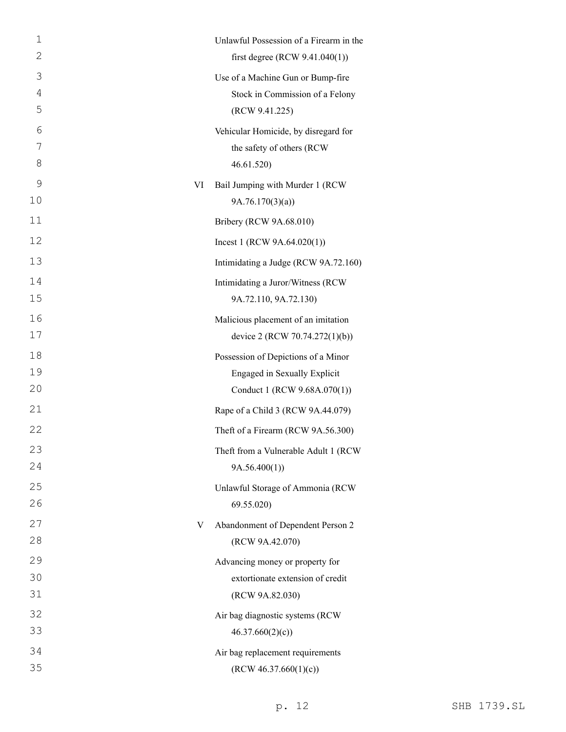| 1  |    | Unlawful Possession of a Firearm in the |
|----|----|-----------------------------------------|
| 2  |    | first degree (RCW $9.41.040(1)$ )       |
| 3  |    | Use of a Machine Gun or Bump-fire       |
| 4  |    | Stock in Commission of a Felony         |
| 5  |    | (RCW 9.41.225)                          |
| 6  |    | Vehicular Homicide, by disregard for    |
| 7  |    | the safety of others (RCW               |
| 8  |    | 46.61.520)                              |
| 9  | VI | Bail Jumping with Murder 1 (RCW         |
| 10 |    | 9A.76.170(3)(a)                         |
| 11 |    | Bribery (RCW 9A.68.010)                 |
| 12 |    | Incest 1 (RCW $9A.64.020(1)$ )          |
| 13 |    | Intimidating a Judge (RCW 9A.72.160)    |
| 14 |    | Intimidating a Juror/Witness (RCW       |
| 15 |    | 9A.72.110, 9A.72.130)                   |
| 16 |    | Malicious placement of an imitation     |
| 17 |    | device 2 (RCW 70.74.272(1)(b))          |
| 18 |    | Possession of Depictions of a Minor     |
| 19 |    | <b>Engaged in Sexually Explicit</b>     |
| 20 |    | Conduct 1 (RCW 9.68A.070(1))            |
| 21 |    | Rape of a Child 3 (RCW 9A.44.079)       |
| 22 |    | Theft of a Firearm (RCW 9A.56.300)      |
| 23 |    | Theft from a Vulnerable Adult 1 (RCW    |
| 24 |    | 9A.56.400(1)                            |
| 25 |    | Unlawful Storage of Ammonia (RCW        |
| 26 |    | 69.55.020)                              |
| 27 | V  | Abandonment of Dependent Person 2       |
| 28 |    | (RCW 9A.42.070)                         |
| 29 |    | Advancing money or property for         |
| 30 |    | extortionate extension of credit        |
| 31 |    | (RCW 9A.82.030)                         |
| 32 |    | Air bag diagnostic systems (RCW         |
| 33 |    | 46.37.660(2)(c)                         |
| 34 |    | Air bag replacement requirements        |
| 35 |    | (RCW 46.37.660(1)(c))                   |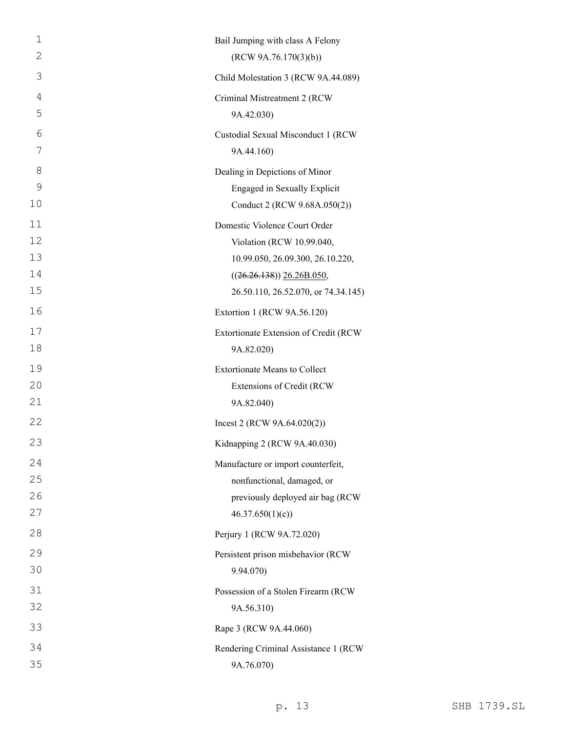| 1  | Bail Jumping with class A Felony      |
|----|---------------------------------------|
| 2  | (RCW 9A.76.170(3)(b))                 |
| 3  | Child Molestation 3 (RCW 9A.44.089)   |
| 4  | Criminal Mistreatment 2 (RCW          |
| 5  | 9A.42.030)                            |
| 6  | Custodial Sexual Misconduct 1 (RCW    |
| 7  | 9A.44.160)                            |
| 8  | Dealing in Depictions of Minor        |
| 9  | Engaged in Sexually Explicit          |
| 10 | Conduct 2 (RCW 9.68A.050(2))          |
| 11 | Domestic Violence Court Order         |
| 12 | Violation (RCW 10.99.040,             |
| 13 | 10.99.050, 26.09.300, 26.10.220,      |
| 14 | $((26.26.138))$ $26.26B.050$ ,        |
| 15 | 26.50.110, 26.52.070, or 74.34.145)   |
| 16 | Extortion 1 (RCW 9A.56.120)           |
| 17 | Extortionate Extension of Credit (RCW |
| 18 | 9A.82.020)                            |
| 19 | <b>Extortionate Means to Collect</b>  |
| 20 | Extensions of Credit (RCW             |
| 21 | 9A.82.040)                            |
| 22 | Incest 2 (RCW $9A.64.020(2)$ )        |
| 23 | Kidnapping 2 (RCW 9A.40.030)          |
| 24 | Manufacture or import counterfeit,    |
| 25 | nonfunctional, damaged, or            |
| 26 | previously deployed air bag (RCW      |
| 27 | 46.37.650(1)(c)                       |
| 28 | Perjury 1 (RCW 9A.72.020)             |
| 29 | Persistent prison misbehavior (RCW    |
| 30 | 9.94.070)                             |
| 31 | Possession of a Stolen Firearm (RCW   |
| 32 | 9A.56.310)                            |
| 33 | Rape 3 (RCW 9A.44.060)                |
| 34 | Rendering Criminal Assistance 1 (RCW  |
| 35 | 9A.76.070)                            |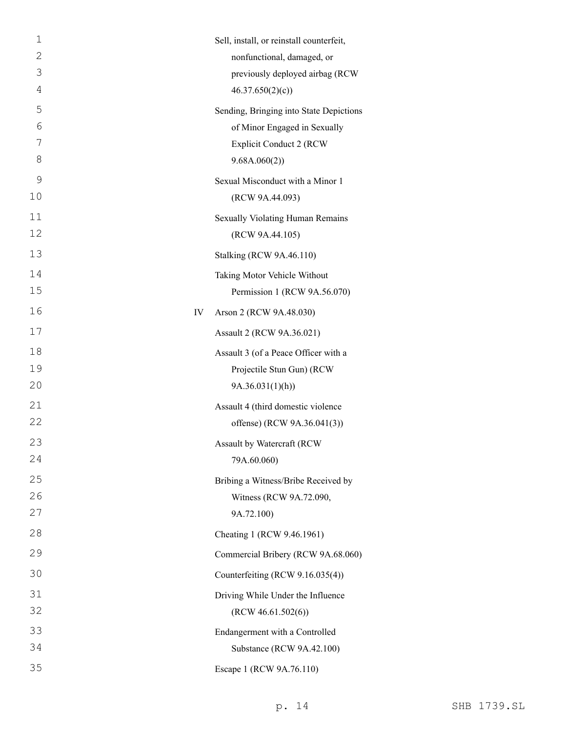| $\mathbf 1$  | Sell, install, or reinstall counterfeit, |
|--------------|------------------------------------------|
| $\mathbf{2}$ | nonfunctional, damaged, or               |
| 3            | previously deployed airbag (RCW          |
| 4            | 46.37.650(2)(c)                          |
| 5            | Sending, Bringing into State Depictions  |
| 6            | of Minor Engaged in Sexually             |
| 7            | <b>Explicit Conduct 2 (RCW)</b>          |
| 8            | 9.68A.060(2))                            |
| 9            | Sexual Misconduct with a Minor 1         |
| 10           | (RCW 9A.44.093)                          |
| 11           | Sexually Violating Human Remains         |
| 12           | (RCW 9A.44.105)                          |
| 13           | Stalking (RCW 9A.46.110)                 |
| 14           | Taking Motor Vehicle Without             |
| 15           | Permission 1 (RCW 9A.56.070)             |
| 16           | IV<br>Arson 2 (RCW 9A.48.030)            |
| 17           | Assault 2 (RCW 9A.36.021)                |
| 18           | Assault 3 (of a Peace Officer with a     |
| 19           | Projectile Stun Gun) (RCW                |
| 20           | 9A.36.031(1)(h)                          |
| 21           | Assault 4 (third domestic violence       |
| 22           | offense) (RCW 9A.36.041(3))              |
| 23           | Assault by Watercraft (RCW               |
| 24           | 79A.60.060)                              |
| 25           | Bribing a Witness/Bribe Received by      |
| 26           | Witness (RCW 9A.72.090,                  |
| 27           | 9A.72.100)                               |
| 28           | Cheating 1 (RCW 9.46.1961)               |
| 29           | Commercial Bribery (RCW 9A.68.060)       |
| 30           | Counterfeiting (RCW 9.16.035(4))         |
| 31           | Driving While Under the Influence        |
| 32           | (RCW 46.61.502(6))                       |
| 33           | Endangerment with a Controlled           |
| 34           | Substance (RCW 9A.42.100)                |
| 35           | Escape 1 (RCW 9A.76.110)                 |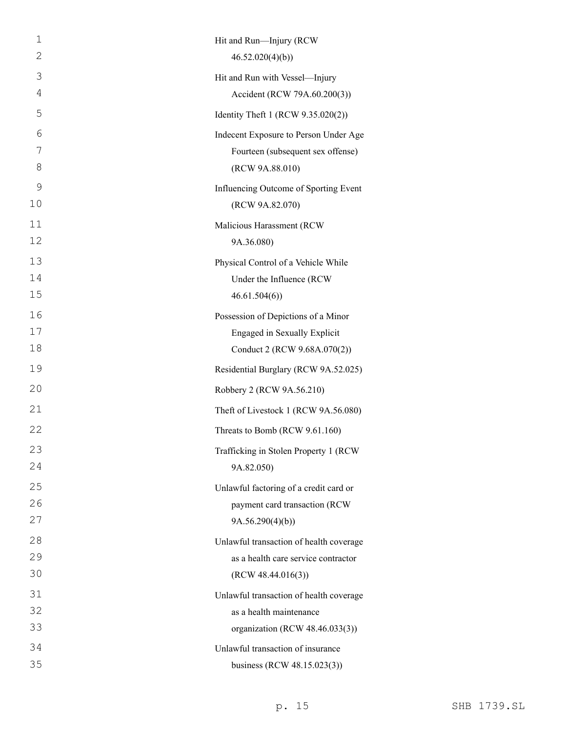| 1  | Hit and Run-Injury (RCW                 |
|----|-----------------------------------------|
| 2  | 46.52.020(4)(b)                         |
| 3  | Hit and Run with Vessel-Injury          |
| 4  | Accident (RCW 79A.60.200(3))            |
| 5  | Identity Theft 1 (RCW 9.35.020(2))      |
| 6  | Indecent Exposure to Person Under Age   |
| 7  | Fourteen (subsequent sex offense)       |
| 8  | (RCW 9A.88.010)                         |
| 9  | Influencing Outcome of Sporting Event   |
| 10 | (RCW 9A.82.070)                         |
| 11 | Malicious Harassment (RCW               |
| 12 | 9A.36.080)                              |
| 13 | Physical Control of a Vehicle While     |
| 14 | Under the Influence (RCW                |
| 15 | 46.61.504(6)                            |
| 16 | Possession of Depictions of a Minor     |
| 17 | Engaged in Sexually Explicit            |
| 18 | Conduct 2 (RCW 9.68A.070(2))            |
| 19 | Residential Burglary (RCW 9A.52.025)    |
| 20 | Robbery 2 (RCW 9A.56.210)               |
| 21 | Theft of Livestock 1 (RCW 9A.56.080)    |
| 22 | Threats to Bomb (RCW 9.61.160)          |
| 23 | Trafficking in Stolen Property 1 (RCW   |
| 24 | 9A.82.050)                              |
| 25 | Unlawful factoring of a credit card or  |
| 26 | payment card transaction (RCW           |
| 27 | 9A.56.290(4)(b)                         |
| 28 | Unlawful transaction of health coverage |
| 29 | as a health care service contractor     |
| 30 | (RCW 48.44.016(3))                      |
| 31 | Unlawful transaction of health coverage |
| 32 | as a health maintenance                 |
| 33 | organization (RCW 48.46.033(3))         |
| 34 | Unlawful transaction of insurance       |
| 35 | business (RCW 48.15.023(3))             |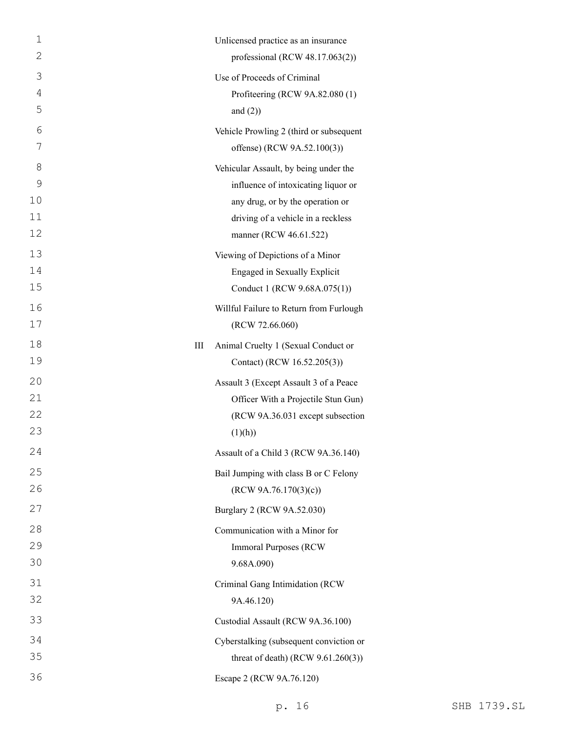| $\mathbf 1$  |   | Unlicensed practice as an insurance     |
|--------------|---|-----------------------------------------|
| $\mathbf{2}$ |   | professional (RCW $48.17.063(2)$ )      |
| 3            |   | Use of Proceeds of Criminal             |
| 4            |   | Profiteering (RCW 9A.82.080 (1)         |
| 5            |   | and $(2)$ )                             |
| 6            |   | Vehicle Prowling 2 (third or subsequent |
| 7            |   | offense) (RCW 9A.52.100(3))             |
| 8            |   | Vehicular Assault, by being under the   |
| 9            |   | influence of intoxicating liquor or     |
| 10           |   | any drug, or by the operation or        |
| 11           |   | driving of a vehicle in a reckless      |
| 12           |   | manner (RCW 46.61.522)                  |
| 13           |   | Viewing of Depictions of a Minor        |
| 14           |   | Engaged in Sexually Explicit            |
| 15           |   | Conduct 1 (RCW 9.68A.075(1))            |
| 16           |   | Willful Failure to Return from Furlough |
| 17           |   | (RCW 72.66.060)                         |
| 18           | Ш | Animal Cruelty 1 (Sexual Conduct or     |
| 19           |   | Contact) (RCW 16.52.205(3))             |
| 20           |   | Assault 3 (Except Assault 3 of a Peace  |
| 21           |   | Officer With a Projectile Stun Gun)     |
| 22           |   | (RCW 9A.36.031 except subsection        |
| 23           |   | (1)(h))                                 |
| 24           |   | Assault of a Child 3 (RCW 9A.36.140)    |
| 25           |   | Bail Jumping with class B or C Felony   |
| 26           |   | (RCW 9A.76.170(3)(c))                   |
| 27           |   | Burglary 2 (RCW 9A.52.030)              |
| 28           |   | Communication with a Minor for          |
| 29           |   | <b>Immoral Purposes (RCW)</b>           |
| 30           |   | 9.68A.090)                              |
| 31           |   | Criminal Gang Intimidation (RCW         |
| 32           |   | 9A.46.120)                              |
| 33           |   | Custodial Assault (RCW 9A.36.100)       |
| 34           |   | Cyberstalking (subsequent conviction or |
| 35           |   | threat of death) (RCW $9.61.260(3)$ )   |
| 36           |   | Escape 2 (RCW 9A.76.120)                |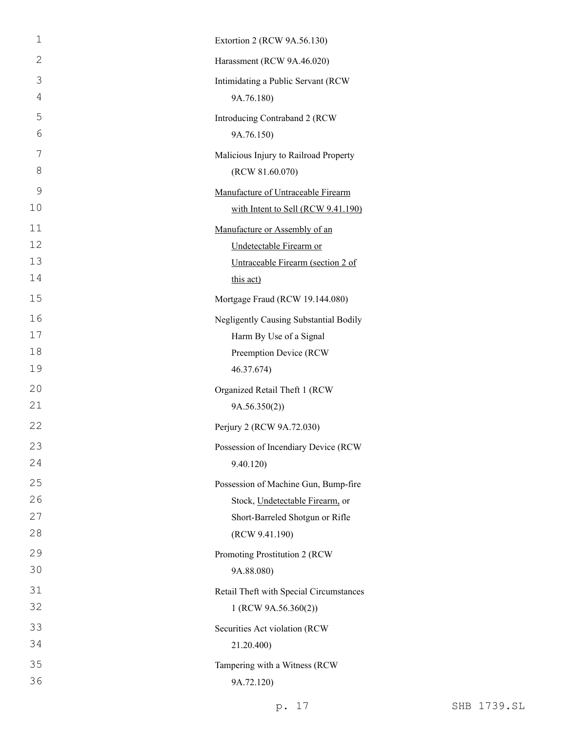| $\mathbf{1}$   | Extortion 2 (RCW 9A.56.130)             |
|----------------|-----------------------------------------|
| $\overline{2}$ | Harassment (RCW 9A.46.020)              |
| 3              | Intimidating a Public Servant (RCW      |
| 4              | 9A.76.180)                              |
| 5              | Introducing Contraband 2 (RCW           |
| 6              | 9A.76.150)                              |
| 7              | Malicious Injury to Railroad Property   |
| $8\,$          | (RCW 81.60.070)                         |
| 9              | Manufacture of Untraceable Firearm      |
| 10             | with Intent to Sell (RCW 9.41.190)      |
| 11             | Manufacture or Assembly of an           |
| 12             | Undetectable Firearm or                 |
| 13             | Untraceable Firearm (section 2 of       |
| 14             | this act)                               |
| 15             | Mortgage Fraud (RCW 19.144.080)         |
| 16             | Negligently Causing Substantial Bodily  |
| 17             | Harm By Use of a Signal                 |
| 18             | Preemption Device (RCW                  |
| 19             | 46.37.674)                              |
| 20             | Organized Retail Theft 1 (RCW           |
| 21             | 9A.56.350(2)                            |
| 22             | Perjury 2 (RCW 9A.72.030)               |
| 23             | Possession of Incendiary Device (RCW    |
| 24             | 9.40.120)                               |
| 25             | Possession of Machine Gun, Bump-fire    |
| 26             | Stock, Undetectable Firearm, or         |
| 27             | Short-Barreled Shotgun or Rifle         |
| 28             | (RCW 9.41.190)                          |
| 29             | Promoting Prostitution 2 (RCW           |
| 30             | 9A.88.080)                              |
| 31             | Retail Theft with Special Circumstances |
| 32             | 1 (RCW 9A.56.360(2))                    |
| 33             | Securities Act violation (RCW           |
| 34             | 21.20.400)                              |
| 35             | Tampering with a Witness (RCW           |
| 36             | 9A.72.120)                              |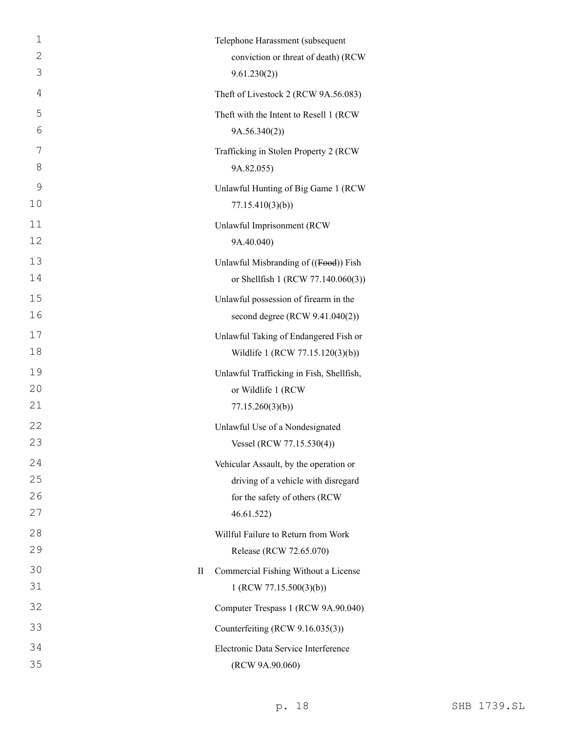| $\mathbf{1}$ | Telephone Harassment (subsequent                    |
|--------------|-----------------------------------------------------|
| $\mathbf{2}$ | conviction or threat of death) (RCW                 |
| 3            | 9.61.230(2)                                         |
| 4            | Theft of Livestock 2 (RCW 9A.56.083)                |
| 5            | Theft with the Intent to Resell 1 (RCW              |
| 6            | 9A.56.340(2)                                        |
| 7            | Trafficking in Stolen Property 2 (RCW               |
| 8            | 9A.82.055)                                          |
| 9            | Unlawful Hunting of Big Game 1 (RCW                 |
| 10           | 77.15.410(3)(b)                                     |
| 11           | Unlawful Imprisonment (RCW                          |
| 12           | 9A.40.040)                                          |
| 13           | Unlawful Misbranding of ((Food)) Fish               |
| 14           | or Shellfish 1 (RCW 77.140.060(3))                  |
| 15           | Unlawful possession of firearm in the               |
| 16           | second degree (RCW 9.41.040(2))                     |
| 17           | Unlawful Taking of Endangered Fish or               |
| 18           | Wildlife 1 (RCW 77.15.120(3)(b))                    |
| 19           | Unlawful Trafficking in Fish, Shellfish,            |
| 20           | or Wildlife 1 (RCW                                  |
| 21           | 77.15.260(3)(b)                                     |
| 22           | Unlawful Use of a Nondesignated                     |
| 23           | Vessel (RCW 77.15.530(4))                           |
| 24           | Vehicular Assault, by the operation or              |
| 25           | driving of a vehicle with disregard                 |
| 26           | for the safety of others (RCW                       |
| 27           | 46.61.522)                                          |
| 28           | Willful Failure to Return from Work                 |
| 29           | Release (RCW 72.65.070)                             |
| 30           | Commercial Fishing Without a License<br>$_{\rm II}$ |
| 31           | 1 (RCW 77.15.500(3)(b))                             |
| 32           | Computer Trespass 1 (RCW 9A.90.040)                 |
| 33           | Counterfeiting (RCW 9.16.035(3))                    |
| 34           | Electronic Data Service Interference                |
| 35           | (RCW 9A.90.060)                                     |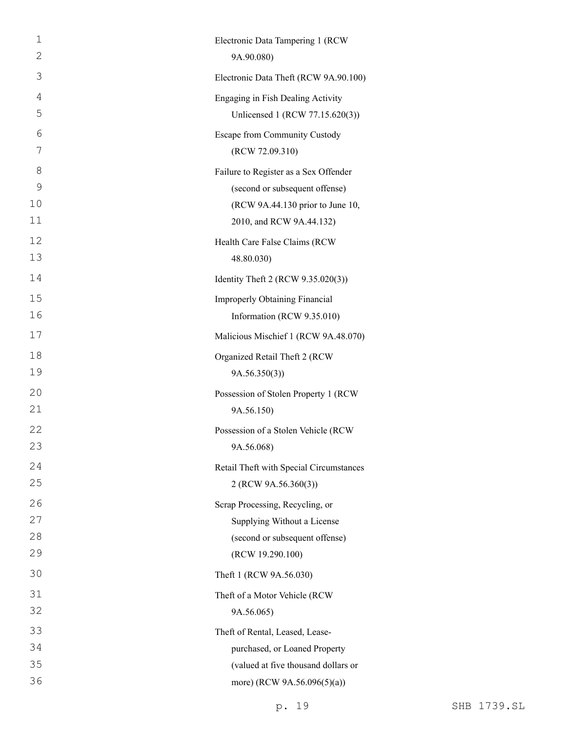| $\mathbf 1$ | Electronic Data Tampering 1 (RCW        |
|-------------|-----------------------------------------|
| 2           | 9A.90.080)                              |
| 3           | Electronic Data Theft (RCW 9A.90.100)   |
| 4           | Engaging in Fish Dealing Activity       |
| 5           | Unlicensed 1 (RCW 77.15.620(3))         |
| 6           | Escape from Community Custody           |
| 7           | (RCW 72.09.310)                         |
| 8           | Failure to Register as a Sex Offender   |
| 9           | (second or subsequent offense)          |
| 10          | (RCW 9A.44.130 prior to June 10,        |
| 11          | 2010, and RCW 9A.44.132)                |
| 12          | Health Care False Claims (RCW           |
| 13          | 48.80.030)                              |
| 14          | Identity Theft 2 (RCW 9.35.020(3))      |
| 15          | <b>Improperly Obtaining Financial</b>   |
| 16          | Information (RCW 9.35.010)              |
| 17          | Malicious Mischief 1 (RCW 9A.48.070)    |
| 18          | Organized Retail Theft 2 (RCW           |
| 19          | 9A.56.350(3)                            |
| 20          | Possession of Stolen Property 1 (RCW    |
| 21          | 9A.56.150)                              |
| 22          | Possession of a Stolen Vehicle (RCW     |
| 23          | 9A.56.068)                              |
| 24          | Retail Theft with Special Circumstances |
| 25          | 2 (RCW 9A.56.360(3))                    |
| 26          | Scrap Processing, Recycling, or         |
| 27          | Supplying Without a License             |
| 28          | (second or subsequent offense)          |
| 29          | (RCW 19.290.100)                        |
| 30          | Theft 1 (RCW 9A.56.030)                 |
| 31          | Theft of a Motor Vehicle (RCW           |
| 32          | 9A.56.065)                              |
| 33          | Theft of Rental, Leased, Lease-         |
| 34          | purchased, or Loaned Property           |
| 35          | (valued at five thousand dollars or     |
| 36          | more) (RCW 9A.56.096(5)(a))             |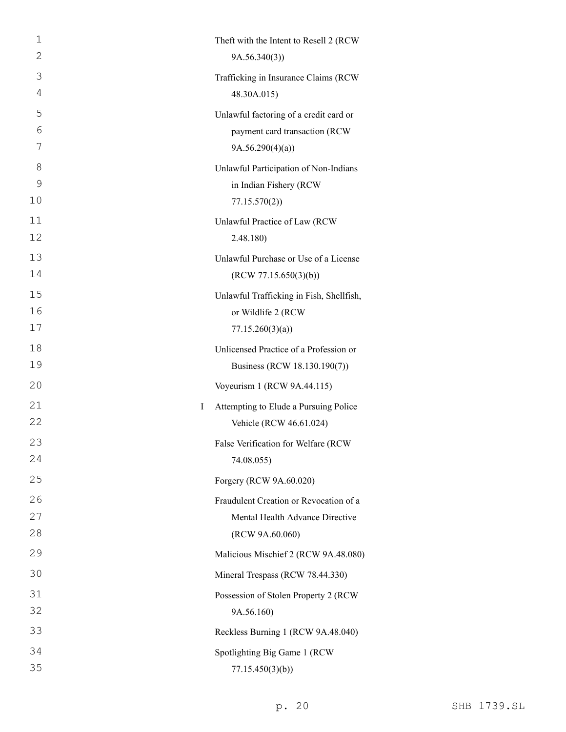| 1  |   | Theft with the Intent to Resell 2 (RCW)  |
|----|---|------------------------------------------|
| 2  |   | 9A.56.340(3)                             |
| 3  |   | Trafficking in Insurance Claims (RCW     |
| 4  |   | 48.30A.015)                              |
| 5  |   | Unlawful factoring of a credit card or   |
| 6  |   | payment card transaction (RCW            |
| 7  |   | 9A.56.290(4)(a)                          |
| 8  |   | Unlawful Participation of Non-Indians    |
| 9  |   | in Indian Fishery (RCW                   |
| 10 |   | 77.15.570(2)                             |
| 11 |   | Unlawful Practice of Law (RCW            |
| 12 |   | 2.48.180)                                |
| 13 |   | Unlawful Purchase or Use of a License    |
| 14 |   | (RCW 77.15.650(3)(b))                    |
| 15 |   | Unlawful Trafficking in Fish, Shellfish, |
| 16 |   | or Wildlife 2 (RCW                       |
| 17 |   | 77.15.260(3)(a)                          |
| 18 |   | Unlicensed Practice of a Profession or   |
| 19 |   | Business (RCW 18.130.190(7))             |
| 20 |   | Voyeurism 1 (RCW 9A.44.115)              |
| 21 | L | Attempting to Elude a Pursuing Police    |
| 22 |   | Vehicle (RCW 46.61.024)                  |
| 23 |   | False Verification for Welfare (RCW      |
| 24 |   | 74.08.055)                               |
| 25 |   | Forgery (RCW 9A.60.020)                  |
| 26 |   | Fraudulent Creation or Revocation of a   |
| 27 |   | Mental Health Advance Directive          |
| 28 |   | (RCW 9A.60.060)                          |
| 29 |   | Malicious Mischief 2 (RCW 9A.48.080)     |
| 30 |   | Mineral Trespass (RCW 78.44.330)         |
| 31 |   | Possession of Stolen Property 2 (RCW     |
| 32 |   | 9A.56.160)                               |
| 33 |   | Reckless Burning 1 (RCW 9A.48.040)       |
| 34 |   | Spotlighting Big Game 1 (RCW             |
| 35 |   | 77.15.450(3)(b)                          |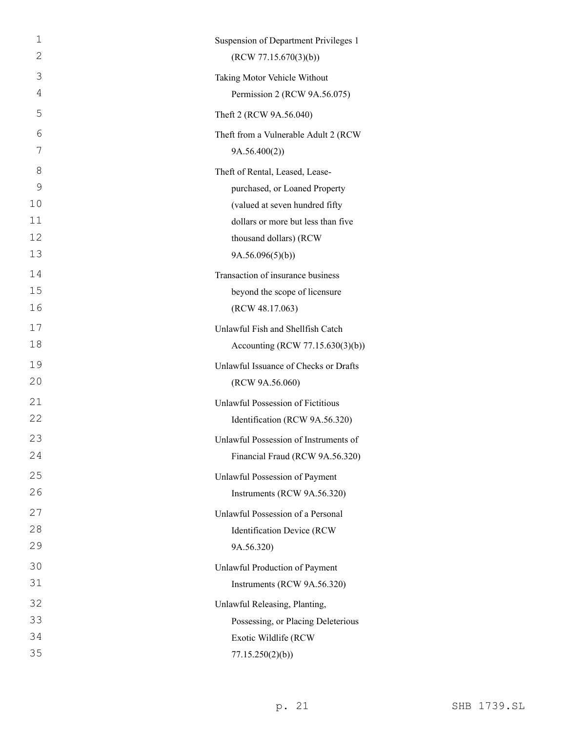| 1  | Suspension of Department Privileges 1 |
|----|---------------------------------------|
| 2  | (RCW 77.15.670(3)(b))                 |
| 3  | Taking Motor Vehicle Without          |
| 4  | Permission 2 (RCW 9A.56.075)          |
| 5  | Theft 2 (RCW 9A.56.040)               |
| 6  | Theft from a Vulnerable Adult 2 (RCW  |
| 7  | 9A.56.400(2))                         |
| 8  | Theft of Rental, Leased, Lease-       |
| 9  | purchased, or Loaned Property         |
| 10 | (valued at seven hundred fifty        |
| 11 | dollars or more but less than five    |
| 12 | thousand dollars) (RCW                |
| 13 | 9A.56.096(5)(b)                       |
| 14 | Transaction of insurance business     |
| 15 | beyond the scope of licensure         |
| 16 | (RCW 48.17.063)                       |
| 17 | Unlawful Fish and Shellfish Catch     |
| 18 | Accounting (RCW 77.15.630(3)(b))      |
| 19 | Unlawful Issuance of Checks or Drafts |
| 20 | (RCW 9A.56.060)                       |
| 21 | Unlawful Possession of Fictitious     |
| 22 | Identification (RCW 9A.56.320)        |
| 23 | Unlawful Possession of Instruments of |
| 24 | Financial Fraud (RCW 9A.56.320)       |
| 25 | Unlawful Possession of Payment        |
| 26 | Instruments (RCW 9A.56.320)           |
| 27 | Unlawful Possession of a Personal     |
| 28 | Identification Device (RCW            |
| 29 | 9A.56.320)                            |
| 30 | Unlawful Production of Payment        |
| 31 | Instruments (RCW 9A.56.320)           |
| 32 | Unlawful Releasing, Planting,         |
| 33 | Possessing, or Placing Deleterious    |
| 34 | Exotic Wildlife (RCW                  |
| 35 | 77.15.250(2)(b)                       |